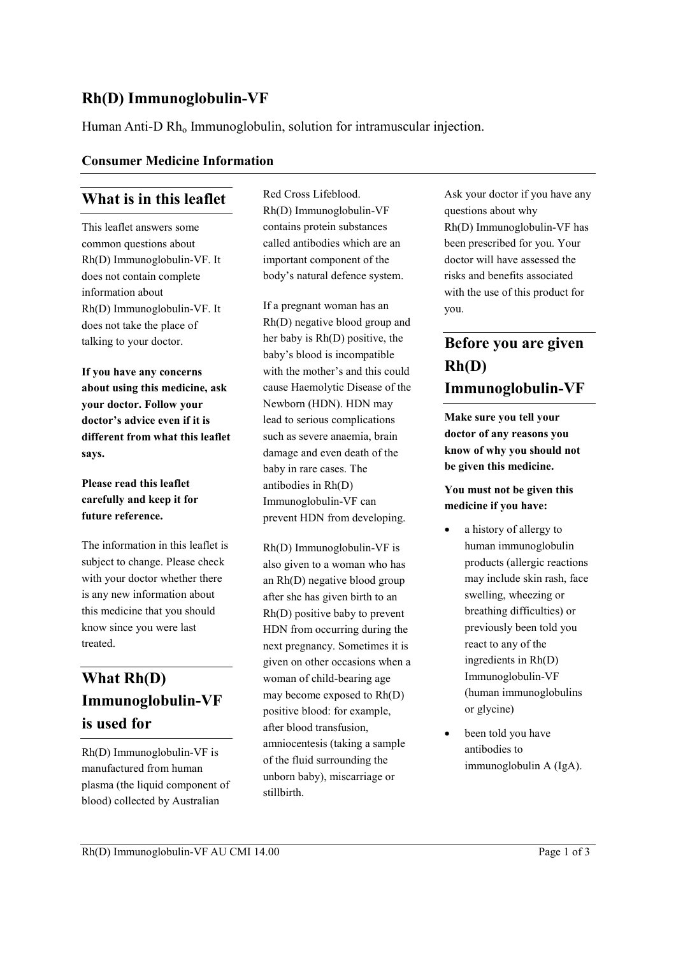### **Rh(D) Immunoglobulin-VF**

Human Anti-D Rh<sub>o</sub> Immunoglobulin, solution for intramuscular injection.

#### **Consumer Medicine Information**

### **What is in this leaflet**

This leaflet answers some common questions about Rh(D) Immunoglobulin-VF. It does not contain complete information about Rh(D) Immunoglobulin-VF. It does not take the place of talking to your doctor.

**If you have any concerns about using this medicine, ask your doctor. Follow your doctor's advice even if it is different from what this leaflet says.**

#### **Please read this leaflet carefully and keep it for future reference.**

The information in this leaflet is subject to change. Please check with your doctor whether there is any new information about this medicine that you should know since you were last treated.

# **What Rh(D) Immunoglobulin-VF is used for**

Rh(D) Immunoglobulin-VF is manufactured from human plasma (the liquid component of blood) collected by Australian

Red Cross Lifeblood. Rh(D) Immunoglobulin-VF contains protein substances called antibodies which are an important component of the body's natural defence system.

If a pregnant woman has an Rh(D) negative blood group and her baby is Rh(D) positive, the baby's blood is incompatible with the mother's and this could cause Haemolytic Disease of the Newborn (HDN). HDN may lead to serious complications such as severe anaemia, brain damage and even death of the baby in rare cases. The antibodies in Rh(D) Immunoglobulin-VF can prevent HDN from developing.

Rh(D) Immunoglobulin-VF is also given to a woman who has an Rh(D) negative blood group after she has given birth to an Rh(D) positive baby to prevent HDN from occurring during the next pregnancy. Sometimes it is given on other occasions when a woman of child-bearing age may become exposed to Rh(D) positive blood: for example, after blood transfusion, amniocentesis (taking a sample of the fluid surrounding the unborn baby), miscarriage or stillbirth.

Ask your doctor if you have any questions about why Rh(D) Immunoglobulin-VF has been prescribed for you. Your doctor will have assessed the risks and benefits associated with the use of this product for you.

# **Before you are given Rh(D) Immunoglobulin-VF**

**Make sure you tell your doctor of any reasons you know of why you should not be given this medicine.**

#### **You must not be given this medicine if you have:**

- a history of allergy to human immunoglobulin products (allergic reactions may include skin rash, face swelling, wheezing or breathing difficulties) or previously been told you react to any of the ingredients in Rh(D) Immunoglobulin-VF (human immunoglobulins or glycine)
- been told you have antibodies to immunoglobulin A (IgA).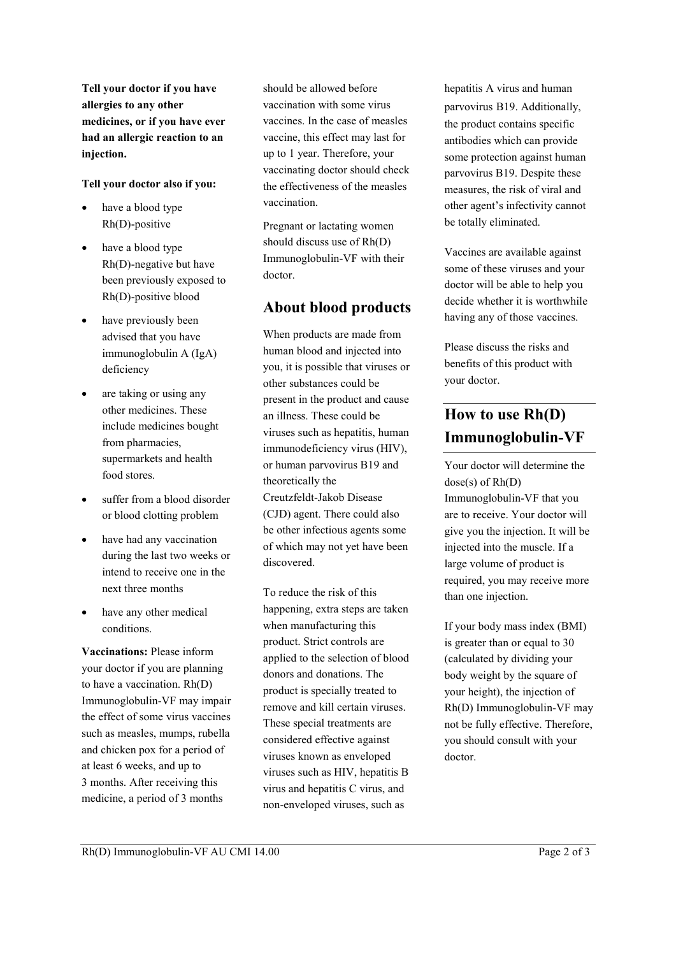**Tell your doctor if you have allergies to any other medicines, or if you have ever had an allergic reaction to an injection.**

#### **Tell your doctor also if you:**

- have a blood type Rh(D)-positive
- have a blood type Rh(D)-negative but have been previously exposed to Rh(D)-positive blood
- have previously been advised that you have immunoglobulin A (IgA) deficiency
- are taking or using any other medicines. These include medicines bought from pharmacies, supermarkets and health food stores.
- suffer from a blood disorder or blood clotting problem
- have had any vaccination during the last two weeks or intend to receive one in the next three months
- have any other medical conditions.

**Vaccinations:** Please inform your doctor if you are planning to have a vaccination. Rh(D) Immunoglobulin-VF may impair the effect of some virus vaccines such as measles, mumps, rubella and chicken pox for a period of at least 6 weeks, and up to 3 months. After receiving this medicine, a period of 3 months

should be allowed before vaccination with some virus vaccines. In the case of measles vaccine, this effect may last for up to 1 year. Therefore, your vaccinating doctor should check the effectiveness of the measles vaccination.

Pregnant or lactating women should discuss use of Rh(D) Immunoglobulin-VF with their doctor.

### **About blood products**

When products are made from human blood and injected into you, it is possible that viruses or other substances could be present in the product and cause an illness. These could be viruses such as hepatitis, human immunodeficiency virus (HIV), or human parvovirus B19 and theoretically the Creutzfeldt-Jakob Disease (CJD) agent. There could also be other infectious agents some of which may not yet have been discovered.

To reduce the risk of this happening, extra steps are taken when manufacturing this product. Strict controls are applied to the selection of blood donors and donations. The product is specially treated to remove and kill certain viruses. These special treatments are considered effective against viruses known as enveloped viruses such as HIV, hepatitis B virus and hepatitis C virus, and non-enveloped viruses, such as

hepatitis A virus and human parvovirus B19. Additionally, the product contains specific antibodies which can provide some protection against human parvovirus B19. Despite these measures, the risk of viral and other agent's infectivity cannot be totally eliminated.

Vaccines are available against some of these viruses and your doctor will be able to help you decide whether it is worthwhile having any of those vaccines.

Please discuss the risks and benefits of this product with your doctor.

# **How to use Rh(D) Immunoglobulin-VF**

Your doctor will determine the dose(s) of Rh(D) Immunoglobulin-VF that you are to receive. Your doctor will give you the injection. It will be injected into the muscle. If a large volume of product is required, you may receive more than one injection.

If your body mass index (BMI) is greater than or equal to 30 (calculated by dividing your body weight by the square of your height), the injection of Rh(D) Immunoglobulin-VF may not be fully effective. Therefore, you should consult with your doctor.